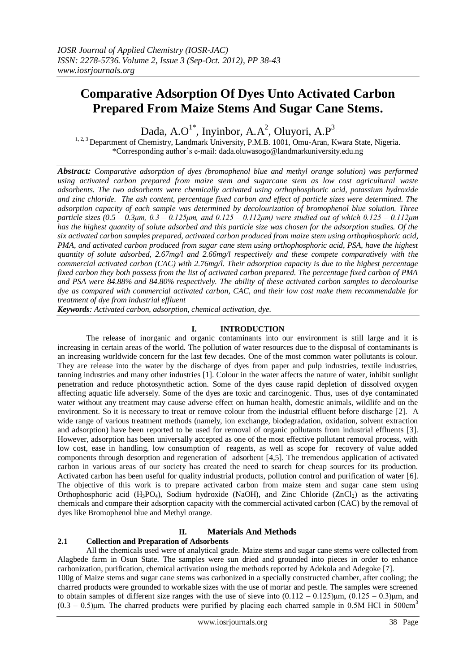# **Comparative Adsorption Of Dyes Unto Activated Carbon Prepared From Maize Stems And Sugar Cane Stems.**

Dada, A.O<sup>1\*</sup>, Inyinbor, A.A<sup>2</sup>, Oluyori, A.P<sup>3</sup>

<sup>1, 2, 3</sup> Department of Chemistry, Landmark University, P.M.B. 1001, Omu-Aran, Kwara State, Nigeria. \*Corresponding author"s e-mail: dada.oluwasogo@landmarkuniversity.edu.ng

*Abstract: Comparative adsorption of dyes (bromophenol blue and methyl orange solution) was performed using activated carbon prepared from maize stem and sugarcane stem as low cost agricultural waste adsorbents. The two adsorbents were chemically activated using orthophosphoric acid, potassium hydroxide and zinc chloride. The ash content, percentage fixed carbon and effect of particle sizes were determined. The adsorption capacity of each sample was determined by decolourization of bromophenol blue solution. Three particle sizes (0.5 – 0.3μm, 0.3 – 0.125μm, and 0.125 – 0.112μm) were studied out of which 0.125 – 0.112μm has the highest quantity of solute adsorbed and this particle size was chosen for the adsorption studies. Of the six activated carbon samples prepared, activated carbon produced from maize stem using orthophosphoric acid, PMA, and activated carbon produced from sugar cane stem using orthophosphoric acid, PSA, have the highest quantity of solute adsorbed, 2.67mg/l and 2.66mg/l respectively and these compete comparatively with the commercial activated carbon (CAC) with 2.76mg/l. Their adsorption capacity is due to the highest percentage fixed carbon they both possess from the list of activated carbon prepared. The percentage fixed carbon of PMA and PSA were 84.88% and 84.80% respectively. The ability of these activated carbon samples to decolourise dye as compared with commercial activated carbon, CAC, and their low cost make them recommendable for treatment of dye from industrial effluent*

*Keywords: Activated carbon, adsorption, chemical activation, dye.*

## **I. INTRODUCTION**

The release of inorganic and organic contaminants into our environment is still large and it is increasing in certain areas of the world. The pollution of water resources due to the disposal of contaminants is an increasing worldwide concern for the last few decades. One of the most common water pollutants is colour. They are release into the water by the discharge of dyes from paper and pulp industries, textile industries, tanning industries and many other industries [1]. Colour in the water affects the nature of water, inhibit sunlight penetration and reduce photosynthetic action. Some of the dyes cause rapid depletion of dissolved oxygen affecting aquatic life adversely. Some of the dyes are toxic and carcinogenic. Thus, uses of dye contaminated water without any treatment may cause adverse effect on human health, domestic animals, wildlife and on the environment. So it is necessary to treat or remove colour from the industrial effluent before discharge [2]. A wide range of various treatment methods (namely, ion exchange, biodegradation, oxidation, solvent extraction and adsorption) have been reported to be used for removal of organic pollutants from industrial effluents [3]. However, adsorption has been universally accepted as one of the most effective pollutant removal process, with low cost, ease in handling, low consumption of reagents, as well as scope for recovery of value added components through desorption and regeneration of adsorbent [4,5]. The tremendous application of activated carbon in various areas of our society has created the need to search for cheap sources for its production. Activated carbon has been useful for quality industrial products, pollution control and purification of water [6]. The objective of this work is to prepare activated carbon from maize stem and sugar cane stem using Orthophosphoric acid  $(H_3PO_4)$ , Sodium hydroxide (NaOH), and Zinc Chloride (ZnCl<sub>2</sub>) as the activating chemicals and compare their adsorption capacity with the commercial activated carbon (CAC) by the removal of dyes like Bromophenol blue and Methyl orange.

### **II. Materials And Methods**

### **2.1 Collection and Preparation of Adsorbents**

All the chemicals used were of analytical grade. Maize stems and sugar cane stems were collected from Alagbede farm in Osun State. The samples were sun dried and grounded into pieces in order to enhance carbonization, purification, chemical activation using the methods reported by Adekola and Adegoke [7].

100g of Maize stems and sugar cane stems was carbonized in a specially constructed chamber, after cooling; the charred products were grounded to workable sizes with the use of mortar and pestle. The samples were screened to obtain samples of different size ranges with the use of sieve into  $(0.112 - 0.125)$ μm,  $(0.125 - 0.3)$ μm, and  $(0.3 - 0.5)$ μm. The charred products were purified by placing each charred sample in 0.5M HCl in 500cm<sup>3</sup>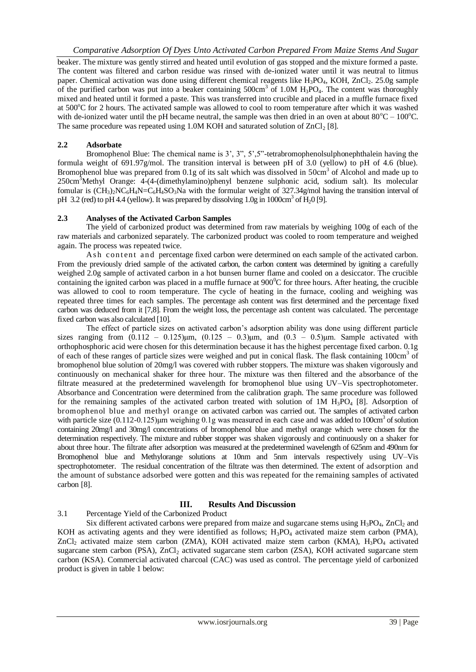beaker. The mixture was gently stirred and heated until evolution of gas stopped and the mixture formed a paste. The content was filtered and carbon residue was rinsed with de-ionized water until it was neutral to litmus paper. Chemical activation was done using different chemical reagents like  $H_3PO_4$ , KOH, ZnCl<sub>2</sub>. 25.0g sample of the purified carbon was put into a beaker containing  $500 \text{cm}^3$  of 1.0M H<sub>3</sub>PO<sub>4</sub>. The content was thoroughly mixed and heated until it formed a paste. This was transferred into crucible and placed in a muffle furnace fixed at 500°C for 2 hours. The activated sample was allowed to cool to room temperature after which it was washed with de-ionized water until the pH became neutral, the sample was then dried in an oven at about  $80^{\circ}C - 100^{\circ}C$ . The same procedure was repeated using 1.0M KOH and saturated solution of  $ZnCl<sub>2</sub> [8]$ .

## **2.2 Adsorbate**

Bromophenol Blue: The chemical name is 3', 3", 5', 5"-tetrabromophenolsulphonephthalein having the formula weight of 691.97g/mol. The transition interval is between pH of 3.0 (yellow) to pH of 4.6 (blue). Bromophenol blue was prepared from 0.1g of its salt which was dissolved in 50cm<sup>3</sup> of Alcohol and made up to 250cm<sup>3</sup>Methyl Orange: 4-(4-(dimethylamino)phenyl benzene sulphonic acid, sodium salt). Its molecular fomular is  $(CH_3)_2NC_6H_4N=C_6H_4SO_3N$ a with the formular weight of 327.34g/mol having the transition interval of pH 3.2 (red) to pH 4.4 (yellow). It was prepared by dissolving  $1.0g$  in  $1000 \text{cm}^3$  of  $\text{H}_2$ 0 [9].

## **2.3 Analyses of the Activated Carbon Samples**

The yield of carbonized product was determined from raw materials by weighing 100g of each of the raw materials and carbonized separately. The carbonized product was cooled to room temperature and weighed again. The process was repeated twice.

Ash content and percentage fixed carbon were determined on each sample of the activated carbon. From the previously dried sample of the activated carbon, the carbon content was determined by igniting a carefully weighed 2.0g sample of activated carbon in a hot bunsen burner flame and cooled on a desiccator. The crucible containing the ignited carbon was placed in a muffle furnace at  $900^{\circ}$ C for three hours. After heating, the crucible was allowed to cool to room temperature. The cycle of heating in the furnace, cooling and weighing was repeated three times for each samples. The percentage ash content was first determined and the percentage fixed carbon was deduced from it [7,8]. From the weight loss, the percentage ash content was calculated. The percentage fixed carbon was also calculated [10].

The effect of particle sizes on activated carbon"s adsorption ability was done using different particle sizes ranging from  $(0.112 - 0.125) \mu m$ ,  $(0.125 - 0.3) \mu m$ , and  $(0.3 - 0.5) \mu m$ . Sample activated with orthophosphoric acid were chosen for this determination because it has the highest percentage fixed carbon. 0.1g of each of these ranges of particle sizes were weighed and put in conical flask. The flask containing 100cm<sup>3</sup> of bromophenol blue solution of 20mg/l was covered with rubber stoppers. The mixture was shaken vigorously and continuously on mechanical shaker for three hour. The mixture was then filtered and the absorbance of the filtrate measured at the predetermined wavelength for bromophenol blue using UV–Vis spectrophotometer. Absorbance and Concentration were determined from the calibration graph. The same procedure was followed for the remaining samples of the activated carbon treated with solution of  $1M H_3PO_4$  [8]. Adsorption of bromophenol blue and methyl orange on activated carbon was carried out. The samples of activated carbon with particle size (0.112-0.125)μm weighing 0.1g was measured in each case and was added to 100cm<sup>3</sup> of solution containing 20mg/l and 30mg/l concentrations of bromophenol blue and methyl orange which were chosen for the determination respectively. The mixture and rubber stopper was shaken vigorously and continuously on a shaker for about three hour. The filtrate after adsorption was measured at the predetermined wavelength of 625nm and 490nm for Bromophenol blue and Methylorange solutions at 10nm and 5nm intervals respectively using UV–Vis spectrophotometer. The residual concentration of the filtrate was then determined. The extent of adsorption and the amount of substance adsorbed were gotten and this was repeated for the remaining samples of activated carbon [8].

## **III. Results And Discussion**

# 3.1 Percentage Yield of the Carbonized Product

Six different activated carbons were prepared from maize and sugarcane stems using  $H_3PO_4$ , ZnCl<sub>2</sub> and KOH as activating agents and they were identified as follows;  $H_3PO_4$  activated maize stem carbon (PMA),  $ZnCl<sub>2</sub>$  activated maize stem carbon (ZMA), KOH activated maize stem carbon (KMA),  $H<sub>3</sub>PO<sub>4</sub>$  activated sugarcane stem carbon (PSA), ZnCl<sub>2</sub> activated sugarcane stem carbon (ZSA), KOH activated sugarcane stem carbon (KSA). Commercial activated charcoal (CAC) was used as control. The percentage yield of carbonized product is given in table 1 below: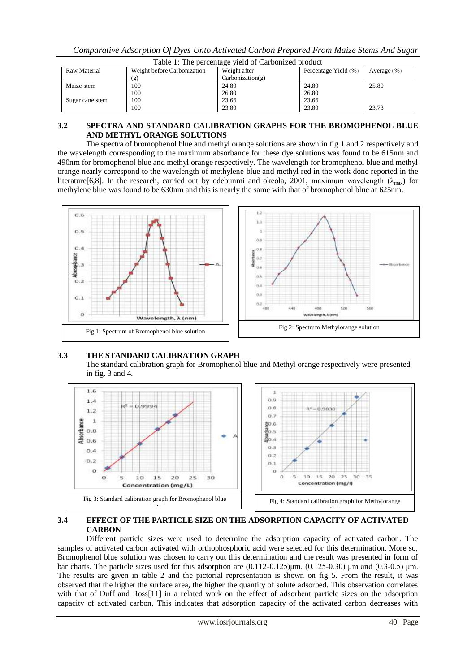|                 | Table 1: The percentage yield of Carbonized product |                  |                      |                |  |
|-----------------|-----------------------------------------------------|------------------|----------------------|----------------|--|
| Raw Material    | Weight before Carbonization                         | Weight after     | Percentage Yield (%) | Average $(\%)$ |  |
|                 | (g)                                                 | Carbonization(g) |                      |                |  |
| Maize stem      | 100                                                 | 24.80            | 24.80                | 25.80          |  |
|                 | 100                                                 | 26.80            | 26.80                |                |  |
| Sugar cane stem | 100                                                 | 23.66            | 23.66                |                |  |
|                 | 100                                                 | 23.80            | 23.80                | 23.73          |  |

### **3.2 SPECTRA AND STANDARD CALIBRATION GRAPHS FOR THE BROMOPHENOL BLUE AND METHYL ORANGE SOLUTIONS**

The spectra of bromophenol blue and methyl orange solutions are shown in fig 1 and 2 respectively and the wavelength corresponding to the maximum absorbance for these dye solutions was found to be 615nm and 490nm for bromophenol blue and methyl orange respectively. The wavelength for bromophenol blue and methyl orange nearly correspond to the wavelength of methylene blue and methyl red in the work done reported in the literature[6,8]. In the research, carried out by odebunmi and okeola, 2001, maximum wavelength ( $\lambda_{\text{max}}$ ) for methylene blue was found to be 630nm and this is nearly the same with that of bromophenol blue at 625nm.



# **3.3 THE STANDARD CALIBRATION GRAPH**

The standard calibration graph for Bromophenol blue and Methyl orange respectively were presented in fig. 3 and 4.



## **3.4 EFFECT OF THE PARTICLE SIZE ON THE ADSORPTION CAPACITY OF ACTIVATED CARBON**

Different particle sizes were used to determine the adsorption capacity of activated carbon. The samples of activated carbon activated with orthophosphoric acid were selected for this determination. More so, Bromophenol blue solution was chosen to carry out this determination and the result was presented in form of bar charts. The particle sizes used for this adsorption are  $(0.112-0.125)$ μm,  $(0.125-0.30)$  μm and  $(0.3-0.5)$  μm. The results are given in table 2 and the pictorial representation is shown on fig 5. From the result, it was observed that the higher the surface area, the higher the quantity of solute adsorbed. This observation correlates with that of Duff and Ross[11] in a related work on the effect of adsorbent particle sizes on the adsorption capacity of activated carbon. This indicates that adsorption capacity of the activated carbon decreases with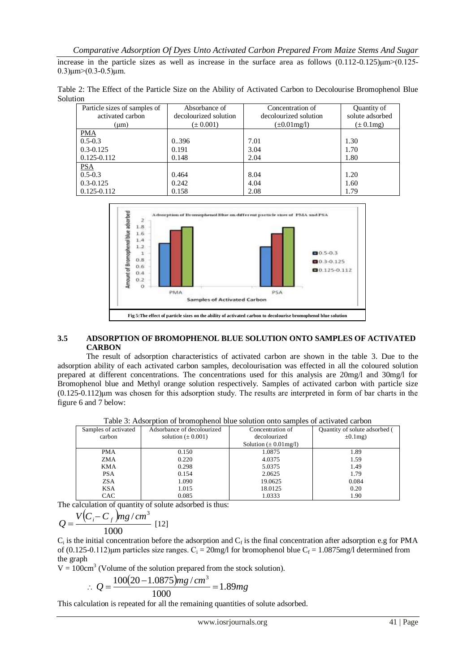increase in the particle sizes as well as increase in the surface area as follows (0.112-0.125)μm>(0.125-  $0.3$ ) $\mu$ m> $(0.3-0.5)$  $\mu$ m.

Table 2: The Effect of the Particle Size on the Ability of Activated Carbon to Decolourise Bromophenol Blue Solution

| Particle sizes of samples of<br>activated carbon | Absorbance of<br>decolourized solution | Concentration of<br>decolourized solution | Quantity of<br>solute adsorbed |  |
|--------------------------------------------------|----------------------------------------|-------------------------------------------|--------------------------------|--|
| (um)                                             | $(\pm 0.001)$                          | $(\pm 0.01$ mg/l)                         | $(\pm 0.1$ mg)                 |  |
| <b>PMA</b>                                       |                                        |                                           |                                |  |
| $0.5 - 0.3$                                      | 0.396                                  | 7.01                                      | 1.30                           |  |
| $0.3 - 0.125$                                    | 0.191                                  | 3.04                                      | 1.70                           |  |
| $0.125 - 0.112$                                  | 0.148                                  | 2.04                                      | 1.80                           |  |
|                                                  |                                        |                                           |                                |  |
| $\frac{\text{PSA}}{\text{0.5-0.3}}$              | 0.464                                  | 8.04                                      | 1.20                           |  |
| $0.3 - 0.125$                                    | 0.242                                  | 4.04                                      | 1.60                           |  |
| $0.125 - 0.112$                                  | 0.158                                  | 2.08                                      | 1.79                           |  |



## **3.5 ADSORPTION OF BROMOPHENOL BLUE SOLUTION ONTO SAMPLES OF ACTIVATED CARBON**

The result of adsorption characteristics of activated carbon are shown in the table 3. Due to the adsorption ability of each activated carbon samples, decolourisation was effected in all the coloured solution prepared at different concentrations. The concentrations used for this analysis are 20mg/l and 30mg/l for Bromophenol blue and Methyl orange solution respectively. Samples of activated carbon with particle size (0.125-0.112)μm was chosen for this adsorption study. The results are interpreted in form of bar charts in the figure 6 and 7 below:

| Samples of activated | Adsorbance of decolourized | Concentration of           | Quantity of solute adsorbed ( |
|----------------------|----------------------------|----------------------------|-------------------------------|
| carbon               | solution $(\pm 0.001)$     | decolourized               | $\pm 0.1$ mg)                 |
|                      |                            | Solution $(\pm 0.01$ mg/l) |                               |
| PMA                  | 0.150                      | 1.0875                     | 1.89                          |
| ZMA                  | 0.220                      | 4.0375                     | 1.59                          |
| KMA                  | 0.298                      | 5.0375                     | 1.49                          |
| <b>PSA</b>           | 0.154                      | 2.0625                     | 1.79                          |
| <b>ZSA</b>           | 1.090                      | 19.0625                    | 0.084                         |
| <b>KSA</b>           | 1.015                      | 18.0125                    | 0.20                          |
| CAC                  | 0.085                      | 1.0333                     | 1.90                          |

Table 3: Adsorption of bromophenol blue solution onto samples of activated carbon

The calculation of quantity of solute adsorbed is thus:

$$
Q = \frac{V(C_i - C_f)mg/cm^3}{1000} \tag{12}
$$

 $C_i$  is the initial concentration before the adsorption and  $C_f$  is the final concentration after adsorption e.g for PMA of  $(0.125-0.112)$ μm particles size ranges. C<sub>i</sub> = 20mg/l for bromophenol blue C<sub>f</sub> = 1.0875mg/l determined from the graph

 $V = 100 \text{cm}^3$  (Volume of the solution prepared from the stock solution).

$$
\therefore Q = \frac{100(20 - 1.0875)mg/cm^3}{1000} = 1.89mg
$$

This calculation is repeated for all the remaining quantities of solute adsorbed.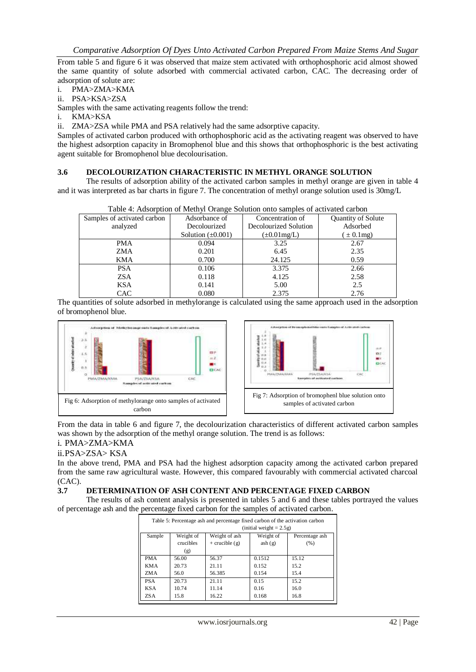From table 5 and figure 6 it was observed that maize stem activated with orthophosphoric acid almost showed the same quantity of solute adsorbed with commercial activated carbon, CAC. The decreasing order of adsorption of solute are:

- i. PMA>ZMA>KMA
- ii. PSA>KSA>ZSA

Samples with the same activating reagents follow the trend:

i. KMA>KSA

ii. ZMA>ZSA while PMA and PSA relatively had the same adsorptive capacity.

Samples of activated carbon produced with orthophosphoric acid as the activating reagent was observed to have the highest adsorption capacity in Bromophenol blue and this shows that orthophosphoric is the best activating agent suitable for Bromophenol blue decolourisation.

#### **3.6 DECOLOURIZATION CHARACTERISTIC IN METHYL ORANGE SOLUTION**

The results of adsorption ability of the activated carbon samples in methyl orange are given in table 4 and it was interpreted as bar charts in figure 7. The concentration of methyl orange solution used is 30mg/L

Table 4: Adsorption of Methyl Orange Solution onto samples of activated carbon

| Samples of activated carbon | Adsorbance of          | Concentration of      | Quantity of Solute |  |  |
|-----------------------------|------------------------|-----------------------|--------------------|--|--|
| analyzed                    | Decolourized           | Decolourized Solution | Adsorbed           |  |  |
|                             | Solution $(\pm 0.001)$ | $(\pm 0.01$ mg/L)     | $\pm 0.1$ mg)      |  |  |
| <b>PMA</b>                  | 0.094                  | 3.25                  | 2.67               |  |  |
| ZMA                         | 0.201                  | 6.45                  | 2.35               |  |  |
| <b>KMA</b>                  | 0.700                  | 24.125                | 0.59               |  |  |
| <b>PSA</b>                  | 0.106                  | 3.375                 | 2.66               |  |  |
| <b>ZSA</b>                  | 0.118                  | 4.125                 | 2.58               |  |  |
| <b>KSA</b>                  | 0.141                  | 5.00                  | 2.5                |  |  |
| <b>CAC</b>                  | 0.080                  | 2.375                 | 2.76               |  |  |

The quantities of solute adsorbed in methylorange is calculated using the same approach used in the adsorption of bromophenol blue.



From the data in table 6 and figure 7, the decolourization characteristics of different activated carbon samples was shown by the adsorption of the methyl orange solution. The trend is as follows:

## i. PMA>ZMA>KMA

#### ii.PSA>ZSA> KSA

In the above trend, PMA and PSA had the highest adsorption capacity among the activated carbon prepared from the same raw agricultural waste. However, this compared favourably with commercial activated charcoal (CAC).

#### **3.7 DETERMINATION OF ASH CONTENT AND PERCENTAGE FIXED CARBON**

The results of ash content analysis is presented in tables 5 and 6 and these tables portrayed the values of percentage ash and the percentage fixed carbon for the samples of activated carbon.

| Table 5: Percentage ash and percentage fixed carbon of the activation carbon |                            |                    |           |                |  |  |
|------------------------------------------------------------------------------|----------------------------|--------------------|-----------|----------------|--|--|
|                                                                              | (initial weight $= 2.5g$ ) |                    |           |                |  |  |
| Sample                                                                       | Weight of                  | Weight of ash      | Weight of | Percentage ash |  |  |
|                                                                              | crucibles                  | $+$ crucible $(g)$ | ash(g)    | (% )           |  |  |
|                                                                              | (g)                        |                    |           |                |  |  |
| <b>PMA</b>                                                                   | 56.00                      | 56.37              | 0.1512    | 15.12          |  |  |
| <b>KMA</b>                                                                   | 20.73                      | 21.11              | 0.152     | 15.2           |  |  |
| ZM A                                                                         | 56.0                       | 56.385             | 0.154     | 15.4           |  |  |
| <b>PSA</b>                                                                   | 20.73                      | 21.11              | 0.15      | 15.2           |  |  |
| <b>KSA</b>                                                                   | 10.74                      | 11.14              | 0.16      | 16.0           |  |  |
| ZS A                                                                         | 15.8                       | 16.22              | 0.168     | 16.8           |  |  |

|  |  |  |  |  | . |  |
|--|--|--|--|--|---|--|
|  |  |  |  |  |   |  |
|  |  |  |  |  |   |  |

www.iosrjournals.org 42 | Page